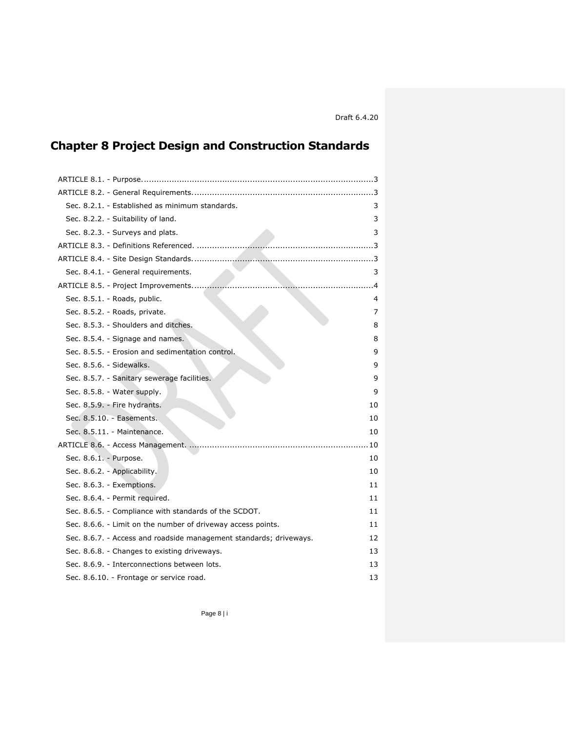# **Chapter 8 Project Design and Construction Standards**

| Sec. 8.2.1. - Established as minimum standards.                    | 3  |
|--------------------------------------------------------------------|----|
| Sec. 8.2.2. - Suitability of land.                                 | 3  |
| Sec. 8.2.3. - Surveys and plats.                                   | 3  |
|                                                                    |    |
|                                                                    |    |
| Sec. 8.4.1. - General requirements.                                | 3  |
|                                                                    |    |
| Sec. 8.5.1. - Roads, public.                                       | 4  |
| Sec. 8.5.2. - Roads, private.                                      | 7  |
| Sec. 8.5.3. - Shoulders and ditches.                               | 8  |
| Sec. 8.5.4. - Signage and names.                                   | 8  |
| Sec. 8.5.5. - Erosion and sedimentation control.                   | 9  |
| Sec. 8.5.6. - Sidewalks.                                           | 9  |
| Sec. 8.5.7. - Sanitary sewerage facilities.                        | 9  |
| Sec. 8.5.8. - Water supply.                                        | 9  |
| Sec. 8.5.9. - Fire hydrants.                                       | 10 |
| Sec. 8.5.10. - Easements.                                          | 10 |
| Sec. 8.5.11. - Maintenance.                                        | 10 |
|                                                                    | 10 |
| Sec. 8.6.1. - Purpose.                                             | 10 |
| Sec. 8.6.2. - Applicability.                                       | 10 |
| Sec. 8.6.3. - Exemptions.                                          | 11 |
| Sec. 8.6.4. - Permit required.                                     | 11 |
| Sec. 8.6.5. - Compliance with standards of the SCDOT.              | 11 |
| Sec. 8.6.6. - Limit on the number of driveway access points.       | 11 |
| Sec. 8.6.7. - Access and roadside management standards; driveways. | 12 |
| Sec. 8.6.8. - Changes to existing driveways.                       | 13 |
| Sec. 8.6.9. - Interconnections between lots.                       | 13 |
| Sec. 8.6.10. - Frontage or service road.                           | 13 |

Page 8 | i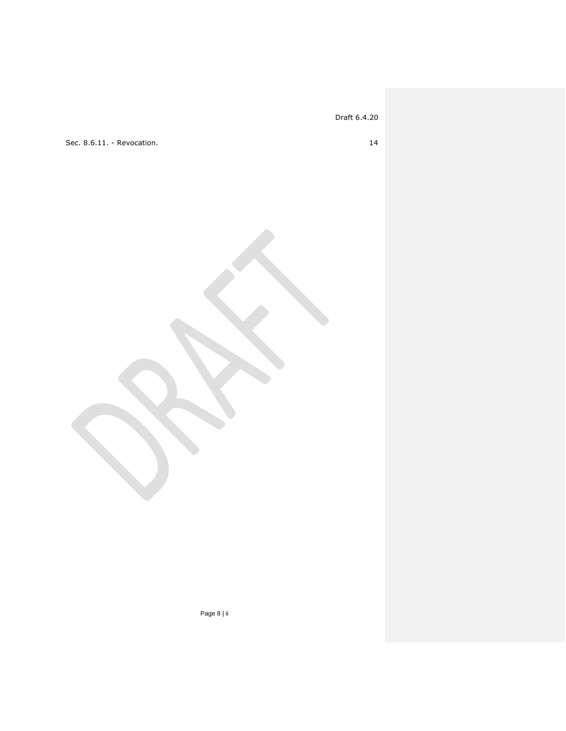[Sec. 8.6.11. -](#page-13-0) Revocation. 14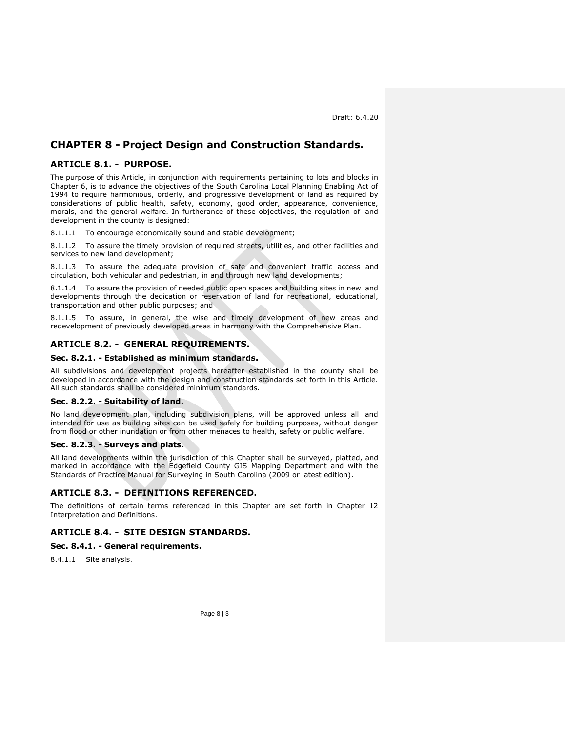# **CHAPTER 8 - Project Design and Construction Standards.**

# <span id="page-2-0"></span>**ARTICLE 8.1. - PURPOSE.**

The purpose of this Article, in conjunction with requirements pertaining to lots and blocks in Chapter 6, is to advance the objectives of the South Carolina Local Planning Enabling Act of 1994 to require harmonious, orderly, and progressive development of land as required by considerations of public health, safety, economy, good order, appearance, convenience, morals, and the general welfare. In furtherance of these objectives, the regulation of land development in the county is designed:

8.1.1.1 To encourage economically sound and stable development;

8.1.1.2 To assure the timely provision of required streets, utilities, and other facilities and services to new land development;

8.1.1.3 To assure the adequate provision of safe and convenient traffic access and circulation, both vehicular and pedestrian, in and through new land developments;

8.1.1.4 To assure the provision of needed public open spaces and building sites in new land developments through the dedication or reservation of land for recreational, educational, transportation and other public purposes; and

8.1.1.5 To assure, in general, the wise and timely development of new areas and redevelopment of previously developed areas in harmony with the Comprehensive Plan.

# <span id="page-2-1"></span>**ARTICLE 8.2. - GENERAL REQUIREMENTS.**

#### <span id="page-2-2"></span>**Sec. 8.2.1. - Established as minimum standards.**

All subdivisions and development projects hereafter established in the county shall be developed in accordance with the design and construction standards set forth in this Article. All such standards shall be considered minimum standards.

#### <span id="page-2-3"></span>**Sec. 8.2.2. - Suitability of land.**

No land development plan, including subdivision plans, will be approved unless all land intended for use as building sites can be used safely for building purposes, without danger from flood or other inundation or from other menaces to health, safety or public welfare.

# <span id="page-2-4"></span>**Sec. 8.2.3. - Surveys and plats.**

All land developments within the jurisdiction of this Chapter shall be surveyed, platted, and marked in accordance with the Edgefield County GIS Mapping Department and with the Standards of Practice Manual for Surveying in South Carolina (2009 or latest edition).

# <span id="page-2-5"></span>**ARTICLE 8.3. - DEFINITIONS REFERENCED.**

The definitions of certain terms referenced in this Chapter are set forth in Chapter 12 Interpretation and Definitions.

# <span id="page-2-6"></span>**ARTICLE 8.4. - SITE DESIGN STANDARDS.**

# <span id="page-2-7"></span>**Sec. 8.4.1. - General requirements.**

8.4.1.1 Site analysis.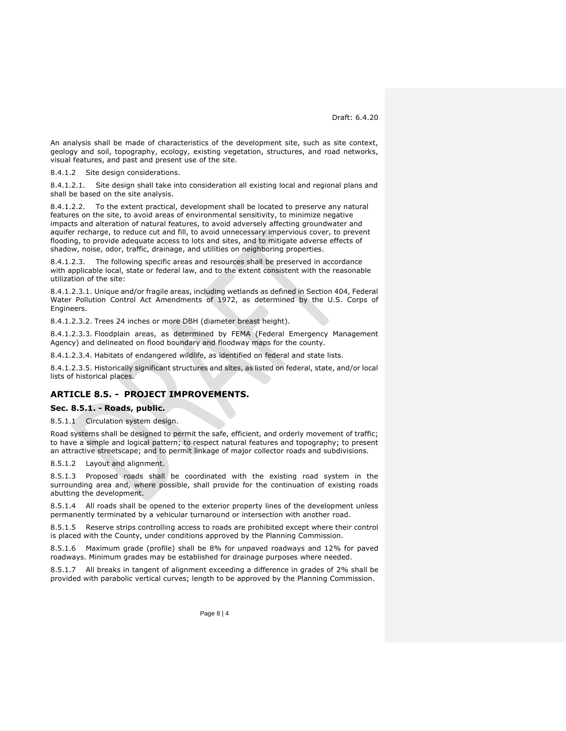An analysis shall be made of characteristics of the development site, such as site context, geology and soil, topography, ecology, existing vegetation, structures, and road networks, visual features, and past and present use of the site.

8.4.1.2 Site design considerations.

8.4.1.2.1. Site design shall take into consideration all existing local and regional plans and shall be based on the site analysis.

8.4.1.2.2. To the extent practical, development shall be located to preserve any natural features on the site, to avoid areas of environmental sensitivity, to minimize negative impacts and alteration of natural features, to avoid adversely affecting groundwater and aquifer recharge, to reduce cut and fill, to avoid unnecessary impervious cover, to prevent flooding, to provide adequate access to lots and sites, and to mitigate adverse effects of shadow, noise, odor, traffic, drainage, and utilities on neighboring properties.

8.4.1.2.3. The following specific areas and resources shall be preserved in accordance with applicable local, state or federal law, and to the extent consistent with the reasonable utilization of the site:

8.4.1.2.3.1. Unique and/or fragile areas, including wetlands as defined in Section 404, Federal Water Pollution Control Act Amendments of 1972, as determined by the U.S. Corps of Engineers.

8.4.1.2.3.2. Trees 24 inches or more DBH (diameter breast height).

8.4.1.2.3.3. Floodplain areas, as determined by FEMA (Federal Emergency Management Agency) and delineated on flood boundary and floodway maps for the county.

8.4.1.2.3.4. Habitats of endangered wildlife, as identified on federal and state lists.

8.4.1.2.3.5. Historically significant structures and sites, as listed on federal, state, and/or local lists of historical places.

# <span id="page-3-0"></span>**ARTICLE 8.5. - PROJECT IMPROVEMENTS.**

#### <span id="page-3-1"></span>**Sec. 8.5.1. - Roads, public.**

8.5.1.1 Circulation system design.

Road systems shall be designed to permit the safe, efficient, and orderly movement of traffic; to have a simple and logical pattern; to respect natural features and topography; to present an attractive streetscape; and to permit linkage of major collector roads and subdivisions.

8.5.1.2 Layout and alignment.

8.5.1.3 Proposed roads shall be coordinated with the existing road system in the surrounding area and, where possible, shall provide for the continuation of existing roads abutting the development.

8.5.1.4 All roads shall be opened to the exterior property lines of the development unless permanently terminated by a vehicular turnaround or intersection with another road.

8.5.1.5 Reserve strips controlling access to roads are prohibited except where their control is placed with the County, under conditions approved by the Planning Commission.

8.5.1.6 Maximum grade (profile) shall be 8% for unpaved roadways and 12% for paved roadways. Minimum grades may be established for drainage purposes where needed.

8.5.1.7 All breaks in tangent of alignment exceeding a difference in grades of 2% shall be provided with parabolic vertical curves; length to be approved by the Planning Commission.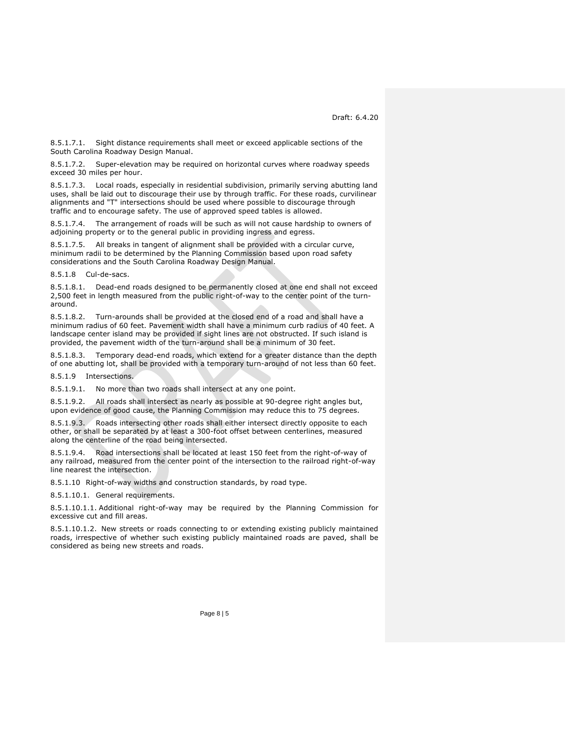8.5.1.7.1. Sight distance requirements shall meet or exceed applicable sections of the South Carolina Roadway Design Manual.

8.5.1.7.2. Super-elevation may be required on horizontal curves where roadway speeds exceed 30 miles per hour.

8.5.1.7.3. Local roads, especially in residential subdivision, primarily serving abutting land uses, shall be laid out to discourage their use by through traffic. For these roads, curvilinear alignments and "T" intersections should be used where possible to discourage through traffic and to encourage safety. The use of approved speed tables is allowed.

8.5.1.7.4. The arrangement of roads will be such as will not cause hardship to owners of adjoining property or to the general public in providing ingress and egress.

8.5.1.7.5. All breaks in tangent of alignment shall be provided with a circular curve, minimum radii to be determined by the Planning Commission based upon road safety considerations and the South Carolina Roadway Design Manual.

8.5.1.8 Cul-de-sacs.

8.5.1.8.1. Dead-end roads designed to be permanently closed at one end shall not exceed 2,500 feet in length measured from the public right-of-way to the center point of the turnaround.

8.5.1.8.2. Turn-arounds shall be provided at the closed end of a road and shall have a minimum radius of 60 feet. Pavement width shall have a minimum curb radius of 40 feet. A landscape center island may be provided if sight lines are not obstructed. If such island is provided, the pavement width of the turn-around shall be a minimum of 30 feet.

8.5.1.8.3. Temporary dead-end roads, which extend for a greater distance than the depth of one abutting lot, shall be provided with a temporary turn-around of not less than 60 feet.

8.5.1.9 Intersections.

8.5.1.9.1. No more than two roads shall intersect at any one point.

8.5.1.9.2. All roads shall intersect as nearly as possible at 90-degree right angles but, upon evidence of good cause, the Planning Commission may reduce this to 75 degrees.

8.5.1.9.3. Roads intersecting other roads shall either intersect directly opposite to each other, or shall be separated by at least a 300-foot offset between centerlines, measured along the centerline of the road being intersected.

8.5.1.9.4. Road intersections shall be located at least 150 feet from the right-of-way of any railroad, measured from the center point of the intersection to the railroad right-of-way line nearest the intersection.

8.5.1.10 Right-of-way widths and construction standards, by road type.

8.5.1.10.1. General requirements.

8.5.1.10.1.1. Additional right-of-way may be required by the Planning Commission for excessive cut and fill areas.

8.5.1.10.1.2. New streets or roads connecting to or extending existing publicly maintained roads, irrespective of whether such existing publicly maintained roads are paved, shall be considered as being new streets and roads.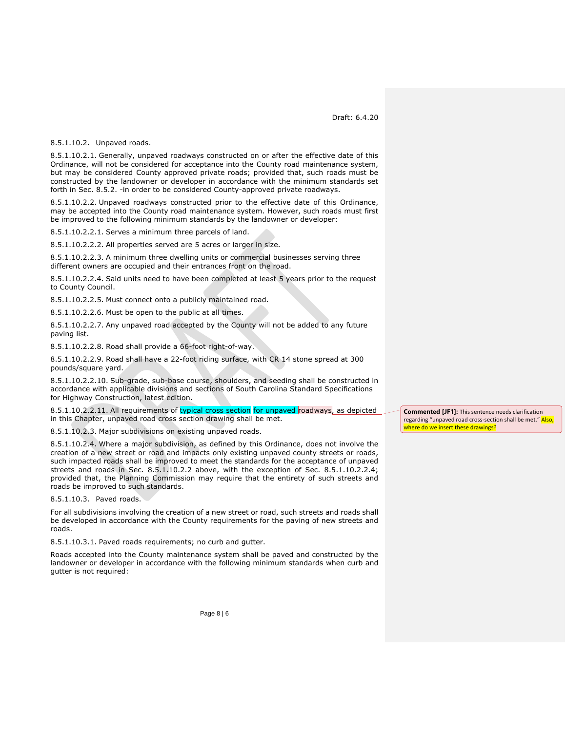<span id="page-5-2"></span>8.5.1.10.2. Unpaved roads.

8.5.1.10.2.1. Generally, unpaved roadways constructed on or after the effective date of this Ordinance, will not be considered for acceptance into the County road maintenance system, but may be considered County approved private roads; provided that, such roads must be constructed by the landowner or developer in accordance with the minimum standards set forth in [Sec. 8.5.2. -i](#page-6-0)n order to be considered County-approved private roadways.

<span id="page-5-0"></span>8.5.1.10.2.2. Unpaved roadways constructed prior to the effective date of this Ordinance, may be accepted into the County road maintenance system. However, such roads must first be improved to the following minimum standards by the landowner or developer:

8.5.1.10.2.2.1. Serves a minimum three parcels of land.

8.5.1.10.2.2.2. All properties served are 5 acres or larger in size.

8.5.1.10.2.2.3. A minimum three dwelling units or commercial businesses serving three different owners are occupied and their entrances front on the road.

<span id="page-5-1"></span>8.5.1.10.2.2.4. Said units need to have been completed at least 5 years prior to the request to County Council.

8.5.1.10.2.2.5. Must connect onto a publicly maintained road.

8.5.1.10.2.2.6. Must be open to the public at all times.

8.5.1.10.2.2.7. Any unpaved road accepted by the County will not be added to any future paving list.

8.5.1.10.2.2.8. Road shall provide a 66-foot right-of-way.

8.5.1.10.2.2.9. Road shall have a 22-foot riding surface, with CR 14 stone spread at 300 pounds/square yard.

8.5.1.10.2.2.10. Sub-grade, sub-base course, shoulders, and seeding shall be constructed in accordance with applicable divisions and sections of South Carolina Standard Specifications for Highway Construction, latest edition.

8.5.1.10.2.2.11. All requirements of typical cross section for unpaved roadways, as depicted in this Chapter, unpaved road cross section drawing shall be met.

8.5.1.10.2.3. Major subdivisions on existing unpaved roads.

8.5.1.10.2.4. Where a major subdivision, as defined by this Ordinance, does not involve the creation of a new street or road and impacts only existing unpaved county streets or roads, such impacted roads shall be improved to meet the standards for the acceptance of unpaved streets and roads in Sec. [8.5.1.10.2.2 above,](#page-5-0) with the exception of Sec. [8.5.1.10.2.2.4;](#page-5-1) provided that, the Planning Commission may require that the entirety of such streets and roads be improved to such standards.

8.5.1.10.3. Paved roads.

For all subdivisions involving the creation of a new street or road, such streets and roads shall be developed in accordance with the County requirements for the paving of new streets and roads.

8.5.1.10.3.1. Paved roads requirements; no curb and gutter.

Roads accepted into the County maintenance system shall be paved and constructed by the landowner or developer in accordance with the following minimum standards when curb and gutter is not required:

**Commented [JF1]:** This sentence needs clarification regarding "unpaved road cross-section shall be met." Also, where do we insert these drawings?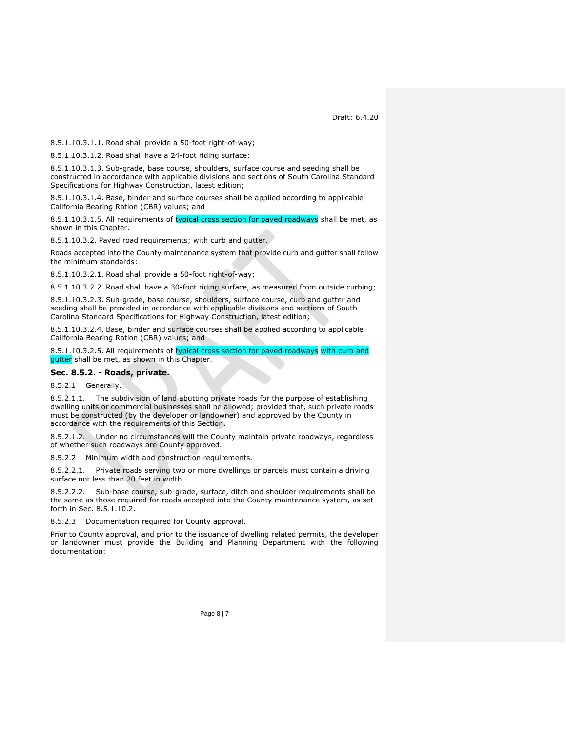8.5.1.10.3.1.1. Road shall provide a 50-foot right-of-way;

8.5.1.10.3.1.2. Road shall have a 24-foot riding surface;

8.5.1.10.3.1.3. Sub-grade, base course, shoulders, surface course and seeding shall be constructed in accordance with applicable divisions and sections of South Carolina Standard Specifications for Highway Construction, latest edition;

8.5.1.10.3.1.4. Base, binder and surface courses shall be applied according to applicable California Bearing Ration (CBR) values; and

8.5.1.10.3.1.5. All requirements of typical cross section for paved roadways shall be met, as shown in this Chapter.

8.5.1.10.3.2. Paved road requirements; with curb and gutter.

Roads accepted into the County maintenance system that provide curb and gutter shall follow the minimum standards:

8.5.1.10.3.2.1. Road shall provide a 50-foot right-of-way;

8.5.1.10.3.2.2. Road shall have a 30-foot riding surface, as measured from outside curbing;

8.5.1.10.3.2.3. Sub-grade, base course, shoulders, surface course, curb and gutter and seeding shall be provided in accordance with applicable divisions and sections of South Carolina Standard Specifications for Highway Construction, latest edition;

8.5.1.10.3.2.4. Base, binder and surface courses shall be applied according to applicable California Bearing Ration (CBR) values; and

8.5.1.10.3.2.5. All requirements of typical cross section for paved roadways with curb and gutter shall be met, as shown in this Chapter.

#### <span id="page-6-0"></span>**Sec. 8.5.2. - Roads, private.**

8.5.2.1 Generally.

8.5.2.1.1. The subdivision of land abutting private roads for the purpose of establishing dwelling units or commercial businesses shall be allowed; provided that, such private roads must be constructed (by the developer or landowner) and approved by the County in accordance with the requirements of this Section.

8.5.2.1.2. Under no circumstances will the County maintain private roadways, regardless of whether such roadways are County approved.

<span id="page-6-1"></span>8.5.2.2 Minimum width and construction requirements.

8.5.2.2.1. Private roads serving two or more dwellings or parcels must contain a driving surface not less than 20 feet in width.

8.5.2.2.2. Sub-base course, sub-grade, surface, ditch and shoulder requirements shall be the same as those required for roads accepted into the County maintenance system, as set forth in Sec. [8.5.1.10.2.](#page-5-2)

8.5.2.3 Documentation required for County approval.

Prior to County approval, and prior to the issuance of dwelling related permits, the developer or landowner must provide the Building and Planning Department with the following documentation: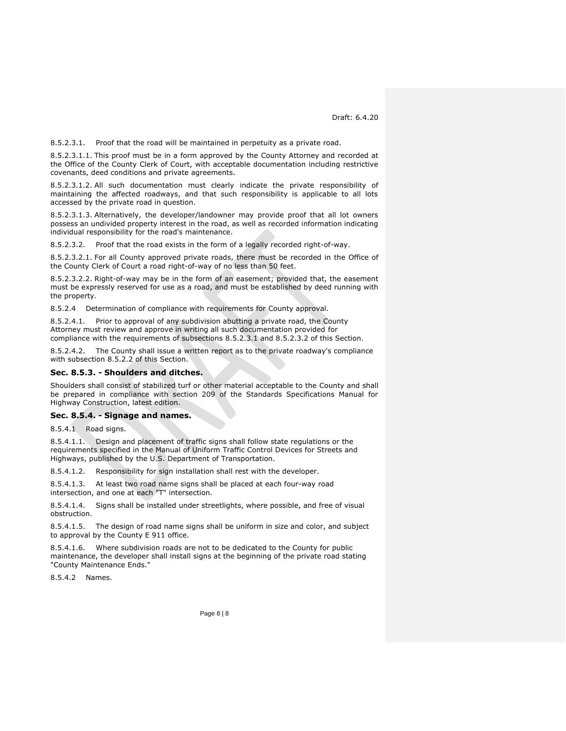<span id="page-7-2"></span>8.5.2.3.1. Proof that the road will be maintained in perpetuity as a private road.

8.5.2.3.1.1. This proof must be in a form approved by the County Attorney and recorded at the Office of the County Clerk of Court, with acceptable documentation including restrictive covenants, deed conditions and private agreements.

8.5.2.3.1.2. All such documentation must clearly indicate the private responsibility of maintaining the affected roadways, and that such responsibility is applicable to all lots accessed by the private road in question.

8.5.2.3.1.3. Alternatively, the developer/landowner may provide proof that all lot owners possess an undivided property interest in the road, as well as recorded information indicating individual responsibility for the road's maintenance.

<span id="page-7-3"></span>8.5.2.3.2. Proof that the road exists in the form of a legally recorded right-of-way.

8.5.2.3.2.1. For all County approved private roads, there must be recorded in the Office of the County Clerk of Court a road right-of-way of no less than 50 feet.

8.5.2.3.2.2. Right-of-way may be in the form of an easement; provided that, the easement must be expressly reserved for use as a road, and must be established by deed running with the property.

8.5.2.4 Determination of compliance with requirements for County approval.

8.5.2.4.1. Prior to approval of any subdivision abutting a private road, the County Attorney must review and approve in writing all such documentation provided for compliance with the requirements of subsections [8.5.2.3.1](#page-7-2) and [8.5.2.3.2](#page-7-3) of this Section.

8.5.2.4.2. The County shall issue a written report as to the private roadway's compliance with subsection [8.5.2.2](#page-6-1) of this Section.

#### <span id="page-7-0"></span>**Sec. 8.5.3. - Shoulders and ditches.**

Shoulders shall consist of stabilized turf or other material acceptable to the County and shall be prepared in compliance with section 209 of the Standards Specifications Manual for Highway Construction, latest edition.

#### <span id="page-7-1"></span>**Sec. 8.5.4. - Signage and names.**

8.5.4.1 Road signs.

8.5.4.1.1. Design and placement of traffic signs shall follow state regulations or the requirements specified in the Manual of Uniform Traffic Control Devices for Streets and Highways, published by the U.S. Department of Transportation.

8.5.4.1.2. Responsibility for sign installation shall rest with the developer.

8.5.4.1.3. At least two road name signs shall be placed at each four-way road intersection, and one at each "T" intersection.

8.5.4.1.4. Signs shall be installed under streetlights, where possible, and free of visual obstruction.

8.5.4.1.5. The design of road name signs shall be uniform in size and color, and subject to approval by the County E 911 office.

8.5.4.1.6. Where subdivision roads are not to be dedicated to the County for public maintenance, the developer shall install signs at the beginning of the private road stating "County Maintenance Ends."

8.5.4.2 Names.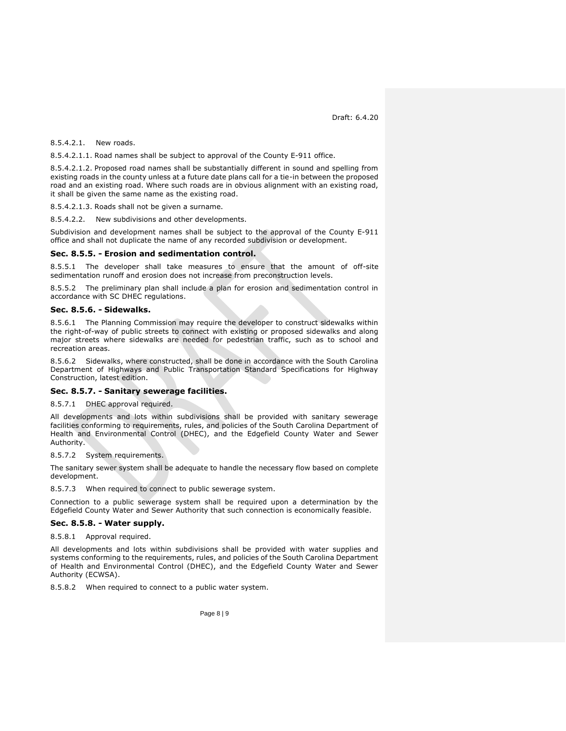8.5.4.2.1. New roads.

8.5.4.2.1.1. Road names shall be subject to approval of the County E-911 office.

8.5.4.2.1.2. Proposed road names shall be substantially different in sound and spelling from existing roads in the county unless at a future date plans call for a tie-in between the proposed road and an existing road. Where such roads are in obvious alignment with an existing road, it shall be given the same name as the existing road.

8.5.4.2.1.3. Roads shall not be given a surname.

8.5.4.2.2. New subdivisions and other developments.

Subdivision and development names shall be subject to the approval of the County E-911 office and shall not duplicate the name of any recorded subdivision or development.

#### <span id="page-8-0"></span>**Sec. 8.5.5. - Erosion and sedimentation control.**

8.5.5.1 The developer shall take measures to ensure that the amount of off-site sedimentation runoff and erosion does not increase from preconstruction levels.

8.5.5.2 The preliminary plan shall include a plan for erosion and sedimentation control in accordance with SC DHEC regulations.

# <span id="page-8-1"></span>**Sec. 8.5.6. - Sidewalks.**

8.5.6.1 The Planning Commission may require the developer to construct sidewalks within the right-of-way of public streets to connect with existing or proposed sidewalks and along major streets where sidewalks are needed for pedestrian traffic, such as to school and recreation areas.

8.5.6.2 Sidewalks, where constructed, shall be done in accordance with the South Carolina Department of Highways and Public Transportation Standard Specifications for Highway Construction, latest edition.

# <span id="page-8-2"></span>**Sec. 8.5.7. - Sanitary sewerage facilities.**

8.5.7.1 DHEC approval required.

All developments and lots within subdivisions shall be provided with sanitary sewerage facilities conforming to requirements, rules, and policies of the South Carolina Department of Health and Environmental Control (DHEC), and the Edgefield County Water and Sewer Authority.

8.5.7.2 System requirements.

The sanitary sewer system shall be adequate to handle the necessary flow based on complete development.

<span id="page-8-3"></span>8.5.7.3 When required to connect to public sewerage system.

Connection to a public sewerage system shall be required upon a determination by the Edgefield County Water and Sewer Authority that such connection is economically feasible.

#### **Sec. 8.5.8. - Water supply.**

8.5.8.1 Approval required.

All developments and lots within subdivisions shall be provided with water supplies and systems conforming to the requirements, rules, and policies of the South Carolina Department of Health and Environmental Control (DHEC), and the Edgefield County Water and Sewer Authority (ECWSA).

8.5.8.2 When required to connect to a public water system.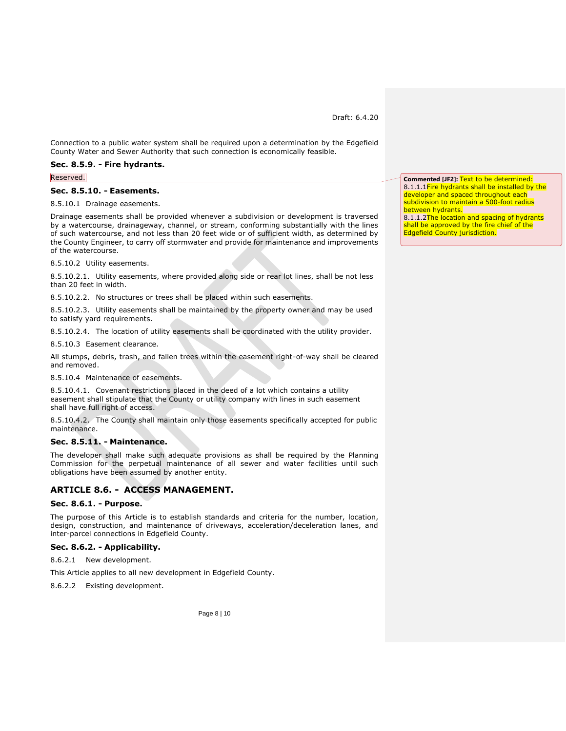Connection to a public water system shall be required upon a determination by the Edgefield County Water and Sewer Authority that such connection is economically feasible.

#### <span id="page-9-0"></span>**Sec. 8.5.9. - Fire hydrants.**

Reserved.

#### <span id="page-9-1"></span>**Sec. 8.5.10. - Easements.**

8.5.10.1 Drainage easements.

Drainage easements shall be provided whenever a subdivision or development is traversed by a watercourse, drainageway, channel, or stream, conforming substantially with the lines of such watercourse, and not less than 20 feet wide or of sufficient width, as determined by the County Engineer, to carry off stormwater and provide for maintenance and improvements of the watercourse.

8.5.10.2 Utility easements.

8.5.10.2.1. Utility easements, where provided along side or rear lot lines, shall be not less than 20 feet in width.

8.5.10.2.2. No structures or trees shall be placed within such easements.

8.5.10.2.3. Utility easements shall be maintained by the property owner and may be used to satisfy yard requirements.

8.5.10.2.4. The location of utility easements shall be coordinated with the utility provider.

8.5.10.3 Easement clearance.

All stumps, debris, trash, and fallen trees within the easement right-of-way shall be cleared and removed.

8.5.10.4 Maintenance of easements.

8.5.10.4.1. Covenant restrictions placed in the deed of a lot which contains a utility easement shall stipulate that the County or utility company with lines in such easement shall have full right of access.

8.5.10.4.2. The County shall maintain only those easements specifically accepted for public maintenance.

#### <span id="page-9-2"></span>**Sec. 8.5.11. - Maintenance.**

The developer shall make such adequate provisions as shall be required by the Planning Commission for the perpetual maintenance of all sewer and water facilities until such obligations have been assumed by another entity.

# <span id="page-9-3"></span>**ARTICLE 8.6. - ACCESS MANAGEMENT.**

#### <span id="page-9-4"></span>**Sec. 8.6.1. - Purpose.**

The purpose of this Article is to establish standards and criteria for the number, location, design, construction, and maintenance of driveways, acceleration/deceleration lanes, and inter-parcel connections in Edgefield County.

#### <span id="page-9-5"></span>**Sec. 8.6.2. - Applicability.**

8.6.2.1 New development.

This Article applies to all new development in Edgefield County.

8.6.2.2 Existing development.

**Commented [JF2]:** Text to be determined: 8.1.1.1 Fire hydrants shall be installed by the developer and spaced throughout each subdivision to maintain a 500-foot radius between hydrants. 8.1.1.2The location and spacing of hydrants shall be approved by the fire chief of the Edgefield County jurisdiction.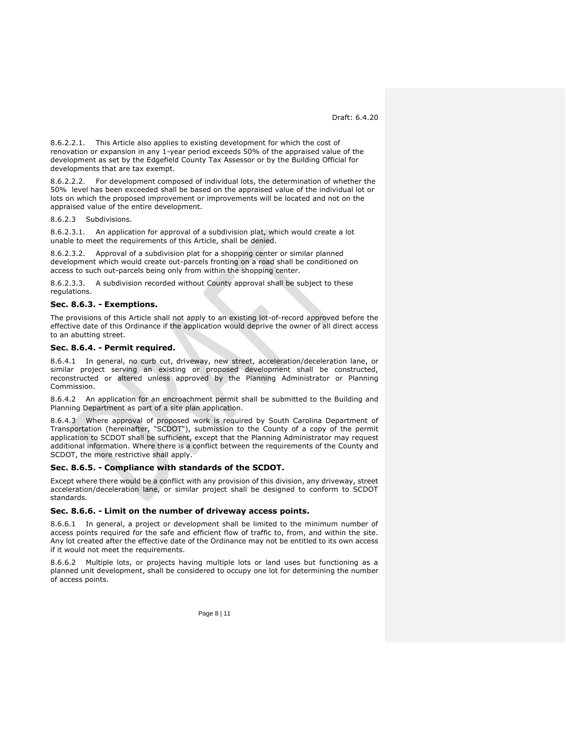8.6.2.2.1. This Article also applies to existing development for which the cost of renovation or expansion in any 1-year period exceeds 50% of the appraised value of the development as set by the Edgefield County Tax Assessor or by the Building Official for developments that are tax exempt.

8.6.2.2.2. For development composed of individual lots, the determination of whether the 50% level has been exceeded shall be based on the appraised value of the individual lot or lots on which the proposed improvement or improvements will be located and not on the appraised value of the entire development.

8.6.2.3 Subdivisions.

8.6.2.3.1. An application for approval of a subdivision plat, which would create a lot unable to meet the requirements of this Article, shall be denied.

8.6.2.3.2. Approval of a subdivision plat for a shopping center or similar planned development which would create out-parcels fronting on a road shall be conditioned on access to such out-parcels being only from within the shopping center.

8.6.2.3.3. A subdivision recorded without County approval shall be subject to these regulations.

#### <span id="page-10-0"></span>**Sec. 8.6.3. - Exemptions.**

The provisions of this Article shall not apply to an existing lot-of-record approved before the effective date of this Ordinance if the application would deprive the owner of all direct access to an abutting street.

#### <span id="page-10-1"></span>**Sec. 8.6.4. - Permit required.**

8.6.4.1 In general, no curb cut, driveway, new street, acceleration/deceleration lane, or similar project serving an existing or proposed development shall be constructed, reconstructed or altered unless approved by the Planning Administrator or Planning Commission.

8.6.4.2 An application for an encroachment permit shall be submitted to the Building and Planning Department as part of a site plan application.

8.6.4.3 Where approval of proposed work is required by South Carolina Department of Transportation (hereinafter, "SCDOT"), submission to the County of a copy of the permit application to SCDOT shall be sufficient, except that the Planning Administrator may request additional information. Where there is a conflict between the requirements of the County and SCDOT, the more restrictive shall apply.

#### <span id="page-10-2"></span>**Sec. 8.6.5. - Compliance with standards of the SCDOT.**

Except where there would be a conflict with any provision of this division, any driveway, street acceleration/deceleration lane, or similar project shall be designed to conform to SCDOT standards.

#### <span id="page-10-3"></span>**Sec. 8.6.6. - Limit on the number of driveway access points.**

8.6.6.1 In general, a project or development shall be limited to the minimum number of access points required for the safe and efficient flow of traffic to, from, and within the site. Any lot created after the effective date of the Ordinance may not be entitled to its own access if it would not meet the requirements.

8.6.6.2 Multiple lots, or projects having multiple lots or land uses but functioning as a planned unit development, shall be considered to occupy one lot for determining the number of access points.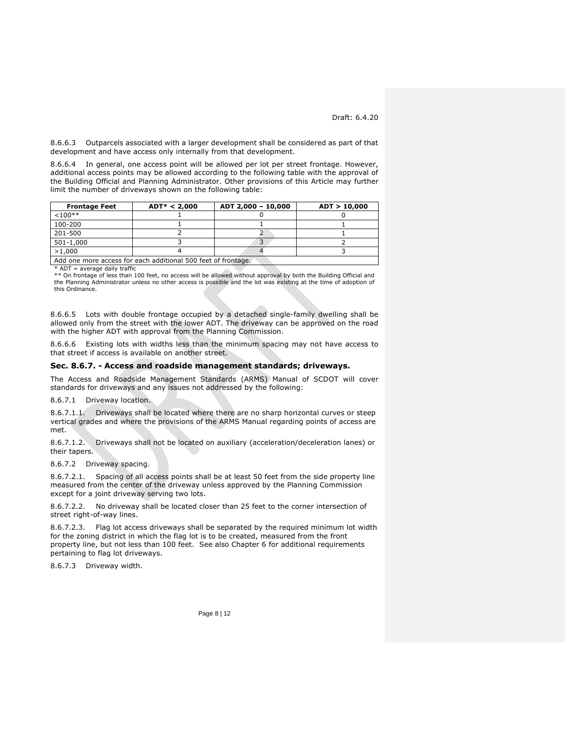8.6.6.3 Outparcels associated with a larger development shall be considered as part of that development and have access only internally from that development.

8.6.6.4 In general, one access point will be allowed per lot per street frontage. However, additional access points may be allowed according to the following table with the approval of the Building Official and Planning Administrator. Other provisions of this Article may further limit the number of driveways shown on the following table:

| <b>Frontage Feet</b>                                          | $ADT* < 2,000$ | ADT 2,000 - 10,000 | ADT > 10,000 |  |
|---------------------------------------------------------------|----------------|--------------------|--------------|--|
| $< 100**$                                                     |                |                    |              |  |
| 100-200                                                       |                |                    |              |  |
| 201-500                                                       |                |                    |              |  |
| 501-1,000                                                     |                |                    |              |  |
| >1.000                                                        |                |                    |              |  |
| Add one more access for each additional 500 feet of frontage. |                |                    |              |  |

\* ADT = average daily traffic

\*\* On frontage of less than 100 feet, no access will be allowed without approval by both the Building Official and the Planning Administrator unless no other access is possible and the lot was existing at the time of adoption of this Ordinance.

8.6.6.5 Lots with double frontage occupied by a detached single-family dwelling shall be allowed only from the street with the lower ADT. The driveway can be approved on the road with the higher ADT with approval from the Planning Commission.

8.6.6.6 Existing lots with widths less than the minimum spacing may not have access to that street if access is available on another street.

# <span id="page-11-0"></span>**Sec. 8.6.7. - Access and roadside management standards; driveways.**

The Access and Roadside Management Standards (ARMS) Manual of SCDOT will cover standards for driveways and any issues not addressed by the following:

8.6.7.1 Driveway location.

8.6.7.1.1. Driveways shall be located where there are no sharp horizontal curves or steep vertical grades and where the provisions of the ARMS Manual regarding points of access are met.

8.6.7.1.2. Driveways shall not be located on auxiliary (acceleration/deceleration lanes) or their tapers.

8.6.7.2 Driveway spacing.

8.6.7.2.1. Spacing of all access points shall be at least 50 feet from the side property line measured from the center of the driveway unless approved by the Planning Commission except for a joint driveway serving two lots.

8.6.7.2.2. No driveway shall be located closer than 25 feet to the corner intersection of street right-of-way lines.

8.6.7.2.3. Flag lot access driveways shall be separated by the required minimum lot width for the zoning district in which the flag lot is to be created, measured from the front property line, but not less than 100 feet. See also Chapter 6 for additional requirements pertaining to flag lot driveways.

8.6.7.3 Driveway width.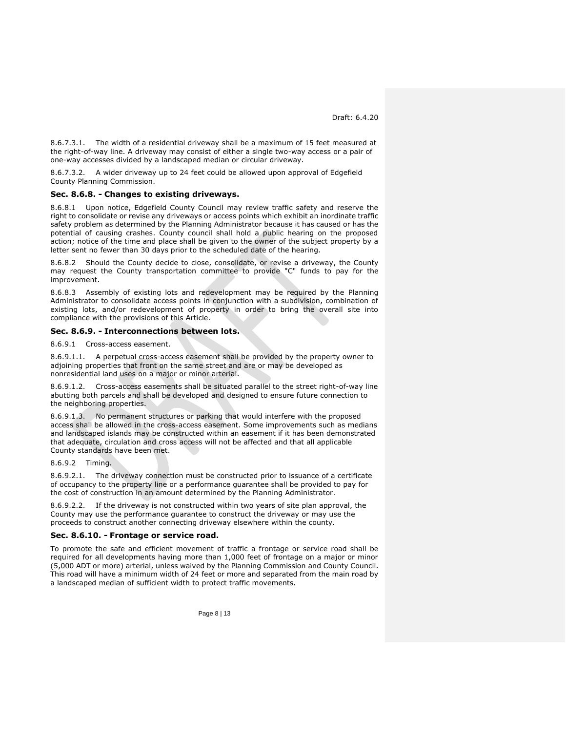8.6.7.3.1. The width of a residential driveway shall be a maximum of 15 feet measured at the right-of-way line. A driveway may consist of either a single two-way access or a pair of one-way accesses divided by a landscaped median or circular driveway.

8.6.7.3.2. A wider driveway up to 24 feet could be allowed upon approval of Edgefield County Planning Commission.

### <span id="page-12-0"></span>**Sec. 8.6.8. - Changes to existing driveways.**

8.6.8.1 Upon notice, Edgefield County Council may review traffic safety and reserve the right to consolidate or revise any driveways or access points which exhibit an inordinate traffic safety problem as determined by the Planning Administrator because it has caused or has the potential of causing crashes. County council shall hold a public hearing on the proposed action; notice of the time and place shall be given to the owner of the subject property by a letter sent no fewer than 30 days prior to the scheduled date of the hearing.

8.6.8.2 Should the County decide to close, consolidate, or revise a driveway, the County may request the County transportation committee to provide "C" funds to pay for the improvement.

8.6.8.3 Assembly of existing lots and redevelopment may be required by the Planning Administrator to consolidate access points in conjunction with a subdivision, combination of existing lots, and/or redevelopment of property in order to bring the overall site into compliance with the provisions of this Article.

#### <span id="page-12-1"></span>**Sec. 8.6.9. - Interconnections between lots.**

8.6.9.1 Cross-access easement.

8.6.9.1.1. A perpetual cross-access easement shall be provided by the property owner to adjoining properties that front on the same street and are or may be developed as nonresidential land uses on a major or minor arterial.

8.6.9.1.2. Cross-access easements shall be situated parallel to the street right-of-way line abutting both parcels and shall be developed and designed to ensure future connection to the neighboring properties.

8.6.9.1.3. No permanent structures or parking that would interfere with the proposed access shall be allowed in the cross-access easement. Some improvements such as medians and landscaped islands may be constructed within an easement if it has been demonstrated that adequate, circulation and cross access will not be affected and that all applicable County standards have been met.

#### 8.6.9.2 Timing.

8.6.9.2.1. The driveway connection must be constructed prior to issuance of a certificate of occupancy to the property line or a performance guarantee shall be provided to pay for the cost of construction in an amount determined by the Planning Administrator.

8.6.9.2.2. If the driveway is not constructed within two years of site plan approval, the County may use the performance guarantee to construct the driveway or may use the proceeds to construct another connecting driveway elsewhere within the county.

#### <span id="page-12-2"></span>**Sec. 8.6.10. - Frontage or service road.**

To promote the safe and efficient movement of traffic a frontage or service road shall be required for all developments having more than 1,000 feet of frontage on a major or minor (5,000 ADT or more) arterial, unless waived by the Planning Commission and County Council. This road will have a minimum width of 24 feet or more and separated from the main road by a landscaped median of sufficient width to protect traffic movements.